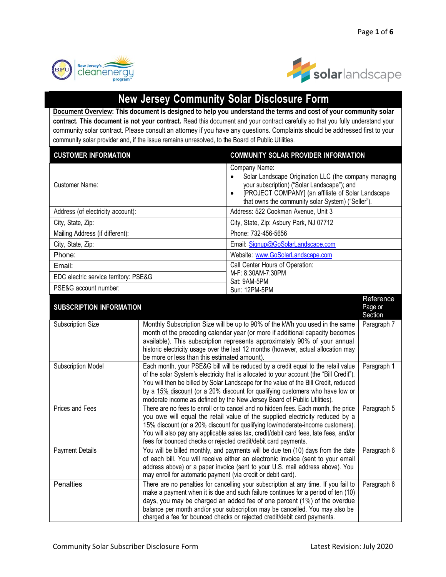



## **New Jersey Community Solar Disclosure Form**

Document Overview: This document is designed to help you understand the terms and cost of your community solar **contract. This document is not your contract.** Read this document and your contract carefully so that you fully understand your community solar contract. Please consult an attorney if you have any questions. Complaints should be addressed first to your community solar provider and, if the issue remains unresolved, to the Board of Public Utilities.

| <b>CUSTOMER INFORMATION</b>           |                                                                 | <b>COMMUNITY SOLAR PROVIDER INFORMATION</b>                                                                                                                                                                                                                                                                                                                                                                                        |                                 |
|---------------------------------------|-----------------------------------------------------------------|------------------------------------------------------------------------------------------------------------------------------------------------------------------------------------------------------------------------------------------------------------------------------------------------------------------------------------------------------------------------------------------------------------------------------------|---------------------------------|
| <b>Customer Name:</b>                 |                                                                 | Company Name:<br>Solar Landscape Origination LLC (the company managing<br>$\bullet$<br>your subscription) ("Solar Landscape"); and<br>[PROJECT COMPANY] (an affiliate of Solar Landscape<br>$\bullet$<br>that owns the community solar System) ("Seller").                                                                                                                                                                         |                                 |
| Address (of electricity account):     |                                                                 | Address: 522 Cookman Avenue, Unit 3                                                                                                                                                                                                                                                                                                                                                                                                |                                 |
| City, State, Zip:                     |                                                                 | City, State, Zip: Asbury Park, NJ 07712                                                                                                                                                                                                                                                                                                                                                                                            |                                 |
| Mailing Address (if different):       |                                                                 | Phone: 732-456-5656                                                                                                                                                                                                                                                                                                                                                                                                                |                                 |
| City, State, Zip:                     |                                                                 | Email: Signup@GoSolarLandscape.com                                                                                                                                                                                                                                                                                                                                                                                                 |                                 |
| Phone:                                |                                                                 | Website: www.GoSolarLandscape.com                                                                                                                                                                                                                                                                                                                                                                                                  |                                 |
| Email:                                |                                                                 | Call Center Hours of Operation:                                                                                                                                                                                                                                                                                                                                                                                                    |                                 |
| EDC electric service territory: PSE&G |                                                                 | M-F: 8:30AM-7:30PM<br>Sat: 9AM-5PM                                                                                                                                                                                                                                                                                                                                                                                                 |                                 |
| PSE&G account number:                 |                                                                 | Sun: 12PM-5PM                                                                                                                                                                                                                                                                                                                                                                                                                      |                                 |
| <b>SUBSCRIPTION INFORMATION</b>       |                                                                 |                                                                                                                                                                                                                                                                                                                                                                                                                                    | Reference<br>Page or<br>Section |
| Subscription Size                     | be more or less than this estimated amount).                    | Monthly Subscription Size will be up to 90% of the kWh you used in the same<br>month of the preceding calendar year (or more if additional capacity becomes<br>available). This subscription represents approximately 90% of your annual<br>historic electricity usage over the last 12 months (however, actual allocation may                                                                                                     | Paragraph 7                     |
| <b>Subscription Model</b>             |                                                                 | Each month, your PSE&G bill will be reduced by a credit equal to the retail value<br>of the solar System's electricity that is allocated to your account (the "Bill Credit").<br>You will then be billed by Solar Landscape for the value of the Bill Credit, reduced<br>by a 15% discount (or a 20% discount for qualifying customers who have low or<br>moderate income as defined by the New Jersey Board of Public Utilities). | Paragraph 1                     |
| Prices and Fees                       | fees for bounced checks or rejected credit/debit card payments. | There are no fees to enroll or to cancel and no hidden fees. Each month, the price<br>you owe will equal the retail value of the supplied electricity reduced by a<br>15% discount (or a 20% discount for qualifying low/moderate-income customers).<br>You will also pay any applicable sales tax, credit/debit card fees, late fees, and/or                                                                                      | Paragraph 5                     |
| <b>Payment Details</b>                | may enroll for automatic payment (via credit or debit card).    | You will be billed monthly, and payments will be due ten (10) days from the date<br>of each bill. You will receive either an electronic invoice (sent to your email<br>address above) or a paper invoice (sent to your U.S. mail address above). You                                                                                                                                                                               | Paragraph 6                     |
| <b>Penalties</b>                      |                                                                 | There are no penalties for cancelling your subscription at any time. If you fail to<br>make a payment when it is due and such failure continues for a period of ten (10)<br>days, you may be charged an added fee of one percent (1%) of the overdue<br>balance per month and/or your subscription may be cancelled. You may also be<br>charged a fee for bounced checks or rejected credit/debit card payments.                   | Paragraph 6                     |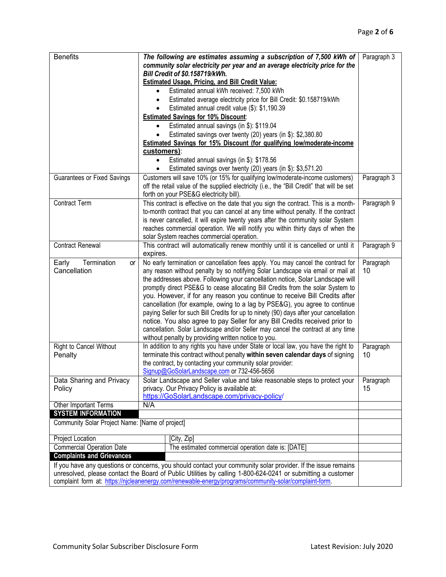| <b>Benefits</b>                                                                                               | The following are estimates assuming a subscription of 7,500 kWh of<br>Paragraph 3                                                                                  |                 |
|---------------------------------------------------------------------------------------------------------------|---------------------------------------------------------------------------------------------------------------------------------------------------------------------|-----------------|
|                                                                                                               | community solar electricity per year and an average electricity price for the                                                                                       |                 |
|                                                                                                               | Bill Credit of \$0.158719/kWh.                                                                                                                                      |                 |
|                                                                                                               | <b>Estimated Usage, Pricing, and Bill Credit Value:</b>                                                                                                             |                 |
|                                                                                                               | Estimated annual kWh received: 7,500 kWh                                                                                                                            |                 |
|                                                                                                               | Estimated average electricity price for Bill Credit: \$0.158719/kWh                                                                                                 |                 |
|                                                                                                               | Estimated annual credit value (\$): \$1,190.39                                                                                                                      |                 |
|                                                                                                               | <b>Estimated Savings for 10% Discount:</b>                                                                                                                          |                 |
|                                                                                                               | Estimated annual savings (in \$): \$119.04                                                                                                                          |                 |
|                                                                                                               | Estimated savings over twenty (20) years (in \$): \$2,380.80<br>Estimated Savings for 15% Discount (for qualifying low/moderate-income                              |                 |
|                                                                                                               | customers):                                                                                                                                                         |                 |
|                                                                                                               | Estimated annual savings (in \$): \$178.56<br>$\bullet$                                                                                                             |                 |
|                                                                                                               | Estimated savings over twenty (20) years (in \$): \$3,571.20<br>$\bullet$                                                                                           |                 |
| <b>Guarantees or Fixed Savings</b>                                                                            | Customers will save 10% (or 15% for qualifying low/moderate-income customers)                                                                                       | Paragraph 3     |
|                                                                                                               | off the retail value of the supplied electricity (i.e., the "Bill Credit" that will be set                                                                          |                 |
|                                                                                                               | forth on your PSE&G electricity bill).                                                                                                                              |                 |
| <b>Contract Term</b>                                                                                          | This contract is effective on the date that you sign the contract. This is a month-                                                                                 | Paragraph 9     |
|                                                                                                               | to-month contract that you can cancel at any time without penalty. If the contract                                                                                  |                 |
|                                                                                                               | is never cancelled, it will expire twenty years after the community solar System                                                                                    |                 |
|                                                                                                               | reaches commercial operation. We will notify you within thirty days of when the                                                                                     |                 |
|                                                                                                               | solar System reaches commercial operation.                                                                                                                          |                 |
| <b>Contract Renewal</b>                                                                                       | This contract will automatically renew monthly until it is cancelled or until it<br>expires.                                                                        | Paragraph 9     |
| Termination<br>Early<br>or                                                                                    | No early termination or cancellation fees apply. You may cancel the contract for                                                                                    | Paragraph       |
| Cancellation                                                                                                  | any reason without penalty by so notifying Solar Landscape via email or mail at                                                                                     | 10              |
|                                                                                                               | the addresses above. Following your cancellation notice, Solar Landscape will                                                                                       |                 |
|                                                                                                               | promptly direct PSE&G to cease allocating Bill Credits from the solar System to                                                                                     |                 |
|                                                                                                               | you. However, if for any reason you continue to receive Bill Credits after                                                                                          |                 |
|                                                                                                               | cancellation (for example, owing to a lag by PSE&G), you agree to continue                                                                                          |                 |
|                                                                                                               | paying Seller for such Bill Credits for up to ninety (90) days after your cancellation                                                                              |                 |
|                                                                                                               | notice. You also agree to pay Seller for any Bill Credits received prior to                                                                                         |                 |
|                                                                                                               | cancellation. Solar Landscape and/or Seller may cancel the contract at any time                                                                                     |                 |
| <b>Right to Cancel Without</b>                                                                                | without penalty by providing written notice to you.                                                                                                                 |                 |
| Penalty                                                                                                       | In addition to any rights you have under State or local law, you have the right to<br>terminate this contract without penalty within seven calendar days of signing | Paragraph<br>10 |
|                                                                                                               | the contract, by contacting your community solar provider:                                                                                                          |                 |
|                                                                                                               | Signup@GoSolarLandscape.com or 732-456-5656                                                                                                                         |                 |
| Data Sharing and Privacy                                                                                      | Solar Landscape and Seller value and take reasonable steps to protect your                                                                                          | Paragraph       |
| Policy                                                                                                        | privacy. Our Privacy Policy is available at:                                                                                                                        | 15              |
|                                                                                                               | https://GoSolarLandscape.com/privacy-policy/                                                                                                                        |                 |
| Other Important Terms                                                                                         | N/A                                                                                                                                                                 |                 |
| <b>SYSTEM INFORMATION</b>                                                                                     |                                                                                                                                                                     |                 |
| Community Solar Project Name: [Name of project]                                                               |                                                                                                                                                                     |                 |
| Project Location                                                                                              | [City, Zip]                                                                                                                                                         |                 |
| <b>Commercial Operation Date</b>                                                                              | The estimated commercial operation date is: [DATE]                                                                                                                  |                 |
| <b>Complaints and Grievances</b>                                                                              |                                                                                                                                                                     |                 |
| If you have any questions or concerns, you should contact your community solar provider. If the issue remains |                                                                                                                                                                     |                 |
| unresolved, please contact the Board of Public Utilities by calling 1-800-624-0241 or submitting a customer   |                                                                                                                                                                     |                 |
| complaint form at: https://njcleanenergy.com/renewable-energy/programs/community-solar/complaint-form.        |                                                                                                                                                                     |                 |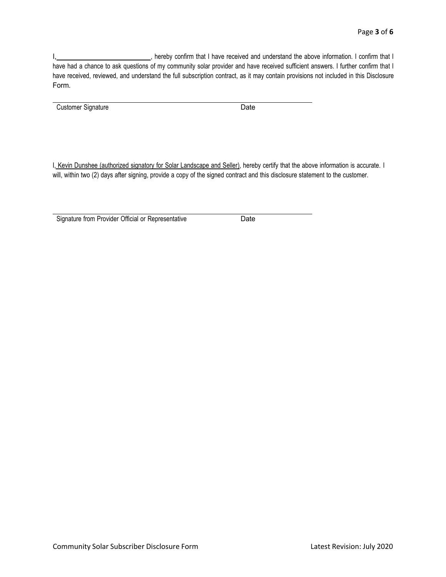I, 1. 1. 1. 1. Thereby confirm that I have received and understand the above information. I confirm that I have had a chance to ask questions of my community solar provider and have received sufficient answers. I further confirm that I have received, reviewed, and understand the full subscription contract, as it may contain provisions not included in this Disclosure Form.

Customer Signature Date

I, Kevin Dunshee (authorized signatory for Solar Landscape and Seller), hereby certify that the above information is accurate. I will, within two (2) days after signing, provide a copy of the signed contract and this disclosure statement to the customer.

Signature from Provider Official or Representative Date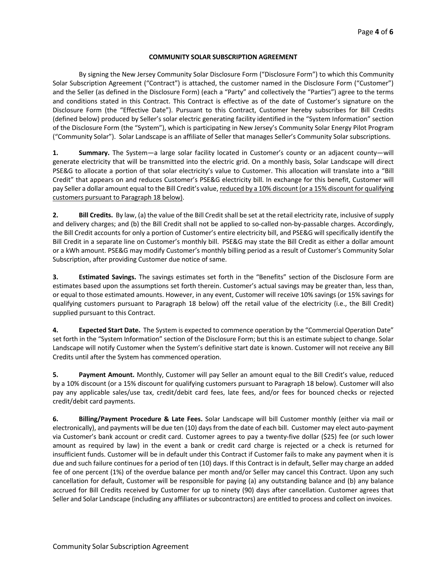## **COMMUNITY SOLAR SUBSCRIPTION AGREEMENT**

By signing the New Jersey Community Solar Disclosure Form ("Disclosure Form") to which this Community Solar Subscription Agreement ("Contract") is attached, the customer named in the Disclosure Form ("Customer") and the Seller (as defined in the Disclosure Form) (each a "Party" and collectively the "Parties") agree to the terms and conditions stated in this Contract. This Contract is effective as of the date of Customer's signature on the Disclosure Form (the "Effective Date"). Pursuant to this Contract, Customer hereby subscribes for Bill Credits (defined below) produced by Seller's solar electric generating facility identified in the "System Information" section of the Disclosure Form (the "System"), which is participating in New Jersey's Community Solar Energy Pilot Program ("Community Solar"). Solar Landscape is an affiliate of Seller that manages Seller's Community Solar subscriptions.

**1. Summary.** The System—a large solar facility located in Customer's county or an adjacent county—will generate electricity that will be transmitted into the electric grid. On a monthly basis, Solar Landscape will direct PSE&G to allocate a portion of that solar electricity's value to Customer. This allocation will translate into a "Bill Credit" that appears on and reduces Customer's PSE&G electricity bill. In exchange for this benefit, Customer will pay Seller a dollar amount equal to the Bill Credit's value, reduced by a 10% discount (or a 15% discount for qualifying customers pursuant to Paragraph 18 below).

**2. Bill Credits.** By law, (a) the value of the Bill Credit shall be set at the retail electricity rate, inclusive of supply and delivery charges; and (b) the Bill Credit shall not be applied to so-called non-by-passable charges. Accordingly, the Bill Credit accounts for only a portion of Customer's entire electricity bill, and PSE&G will specifically identify the Bill Credit in a separate line on Customer's monthly bill. PSE&G may state the Bill Credit as either a dollar amount or a kWh amount. PSE&G may modify Customer's monthly billing period as a result of Customer's Community Solar Subscription, after providing Customer due notice of same.

**3. Estimated Savings.** The savings estimates set forth in the "Benefits" section of the Disclosure Form are estimates based upon the assumptions set forth therein. Customer's actual savings may be greater than, less than, or equal to those estimated amounts. However, in any event, Customer will receive 10% savings (or 15% savings for qualifying customers pursuant to Paragraph 18 below) off the retail value of the electricity (i.e., the Bill Credit) supplied pursuant to this Contract.

**4. Expected Start Date.** The System is expected to commence operation by the "Commercial Operation Date" set forth in the "System Information" section of the Disclosure Form; but this is an estimate subject to change. Solar Landscape will notify Customer when the System's definitive start date is known. Customer will not receive any Bill Credits until after the System has commenced operation.

**5. Payment Amount.** Monthly, Customer will pay Seller an amount equal to the Bill Credit's value, reduced by a 10% discount (or a 15% discount for qualifying customers pursuant to Paragraph 18 below). Customer will also pay any applicable sales/use tax, credit/debit card fees, late fees, and/or fees for bounced checks or rejected credit/debit card payments.

**6. Billing/Payment Procedure & Late Fees.** Solar Landscape will bill Customer monthly (either via mail or electronically), and payments will be due ten (10) daysfrom the date of each bill. Customer may elect auto-payment via Customer's bank account or credit card. Customer agrees to pay a twenty-five dollar (\$25) fee (or such lower amount as required by law) in the event a bank or credit card charge is rejected or a check is returned for insufficient funds. Customer will be in default under this Contract if Customer fails to make any payment when it is due and such failure continues for a period of ten (10) days. If this Contract is in default, Seller may charge an added fee of one percent (1%) of the overdue balance per month and/or Seller may cancel this Contract. Upon any such cancellation for default, Customer will be responsible for paying (a) any outstanding balance and (b) any balance accrued for Bill Credits received by Customer for up to ninety (90) days after cancellation. Customer agrees that Seller and Solar Landscape (including any affiliates or subcontractors) are entitled to process and collect on invoices.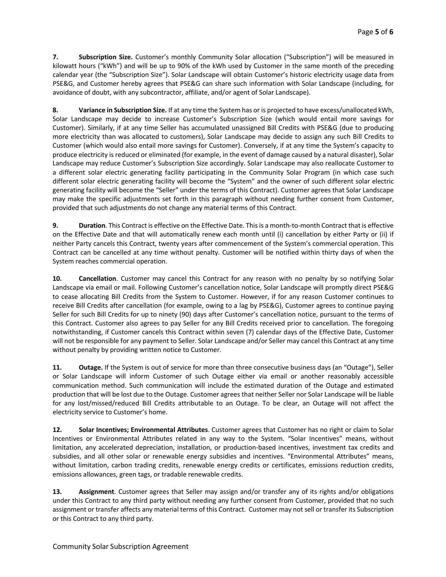**7. Subscription Size.** Customer's monthly Community Solar allocation ("Subscription") will be measured in kilowatt hours ("kWh") and will be up to 90% of the kWh used by Customer in the same month of the preceding calendar year (the "Subscription Size"). Solar Landscape will obtain Customer's historic electricity usage data from PSE&G, and Customer hereby agrees that PSE&G can share such information with Solar Landscape (including, for avoidance of doubt, with any subcontractor, affiliate, and/or agent of Solar Landscape).

**8. Variance in Subscription Size.** If at any time the System has or is projected to have excess/unallocated kWh, Solar Landscape may decide to increase Customer's Subscription Size (which would entail more savings for Customer). Similarly, if at any time Seller has accumulated unassigned Bill Credits with PSE&G (due to producing more electricity than was allocated to customers), Solar Landscape may decide to assign any such Bill Credits to Customer (which would also entail more savings for Customer). Conversely, if at any time the System's capacity to produce electricity is reduced or eliminated (for example, in the event of damage caused by a natural disaster), Solar Landscape may reduce Customer's Subscription Size accordingly. Solar Landscape may also reallocate Customer to a different solar electric generating facility participating in the Community Solar Program (in which case such different solar electric generating facility will become the "System" and the owner of such different solar electric generating facility will become the "Seller" under the terms of this Contract). Customer agrees that Solar Landscape may make the specific adjustments set forth in this paragraph without needing further consent from Customer, provided that such adjustments do not change any material terms of this Contract.

**9. Duration**. This Contract is effective on the Effective Date. Thisis a month-to-month Contract that is effective on the Effective Date and that will automatically renew each month until (i) cancellation by either Party or (ii) if neither Party cancels this Contract, twenty years after commencement of the System's commercial operation. This Contract can be cancelled at any time without penalty. Customer will be notified within thirty days of when the System reaches commercial operation.

**10. Cancellation**. Customer may cancel this Contract for any reason with no penalty by so notifying Solar Landscape via email or mail. Following Customer's cancellation notice, Solar Landscape will promptly direct PSE&G to cease allocating Bill Credits from the System to Customer. However, if for any reason Customer continues to receive Bill Credits after cancellation (for example, owing to a lag by PSE&G), Customer agrees to continue paying Seller for such Bill Credits for up to ninety (90) days after Customer's cancellation notice, pursuant to the terms of this Contract. Customer also agrees to pay Seller for any Bill Credits received prior to cancellation. The foregoing notwithstanding, if Customer cancels this Contract within seven (7) calendar days of the Effective Date, Customer will not be responsible for any payment to Seller. Solar Landscape and/or Seller may cancel this Contract at any time without penalty by providing written notice to Customer.

**11. Outage.** If the System is out of service for more than three consecutive business days (an "Outage"), Seller or Solar Landscape will inform Customer of such Outage either via email or another reasonably accessible communication method. Such communication will include the estimated duration of the Outage and estimated production that will be lost due to the Outage. Customer agrees that neither Seller nor Solar Landscape will be liable for any lost/missed/reduced Bill Credits attributable to an Outage. To be clear, an Outage will not affect the electricity service to Customer's home.

**12. Solar Incentives; Environmental Attributes**. Customer agrees that Customer has no right or claim to Solar Incentives or Environmental Attributes related in any way to the System. "Solar Incentives" means, without limitation, any accelerated depreciation, installation, or production-based incentives, investment tax credits and subsidies, and all other solar or renewable energy subsidies and incentives. "Environmental Attributes" means, without limitation, carbon trading credits, renewable energy credits or certificates, emissions reduction credits, emissions allowances, green tags, or tradable renewable credits.

**13. Assignment**. Customer agrees that Seller may assign and/or transfer any of its rights and/or obligations under this Contract to any third party without needing any further consent from Customer, provided that no such assignment or transfer affects any material terms of this Contract. Customer may notsell or transfer its Subscription or this Contract to any third party.